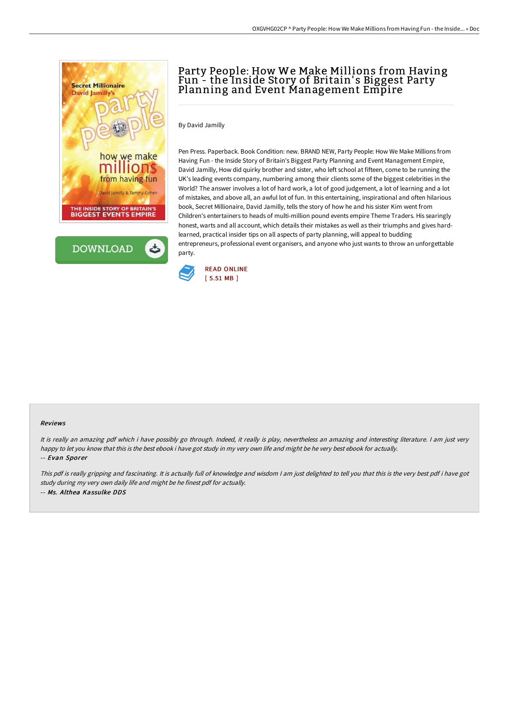



# Party People: How We Make Millions from Having Fun - the Inside Story of Britain' s Biggest Party Planning and Event Management Empire

By David Jamilly

Pen Press. Paperback. Book Condition: new. BRAND NEW, Party People: How We Make Millions from Having Fun - the Inside Story of Britain's Biggest Party Planning and Event Management Empire, David Jamilly, How did quirky brother and sister, who left school at fifteen, come to be running the UK's leading events company, numbering among their clients some of the biggest celebrities in the World? The answer involves a lot of hard work, a lot of good judgement, a lot of learning and a lot of mistakes, and above all, an awful lot of fun. In this entertaining, inspirational and often hilarious book, Secret Millionaire, David Jamilly, tells the story of how he and his sister Kim went from Children's entertainers to heads of multi-million pound events empire Theme Traders. His searingly honest, warts and all account, which details their mistakes as well as their triumphs and gives hardlearned, practical insider tips on all aspects of party planning, will appeal to budding entrepreneurs, professional event organisers, and anyone who just wants to throw an unforgettable party.



#### Reviews

It is really an amazing pdf which i have possibly go through. Indeed, it really is play, nevertheless an amazing and interesting literature. <sup>I</sup> am just very happy to let you know that this is the best ebook i have got study in my very own life and might be he very best ebook for actually. -- Evan Sporer

This pdf is really gripping and fascinating. It is actually full of knowledge and wisdom <sup>I</sup> am just delighted to tell you that this is the very best pdf i have got study during my very own daily life and might be he finest pdf for actually. -- Ms. Althea Kassulke DDS